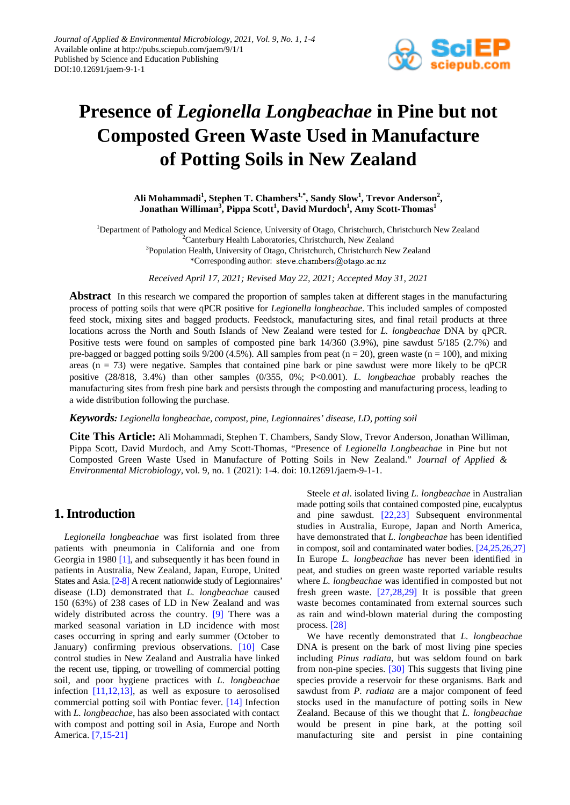

# **Presence of** *Legionella Longbeachae* **in Pine but not Composted Green Waste Used in Manufacture of Potting Soils in New Zealand**

Ali Mohammadi<sup>1</sup>, Stephen T. Chambers<sup>1,\*</sup>, Sandy Slow<sup>1</sup>, Trevor Anderson<sup>2</sup>,  $\mathbf{J}$ onathan Williman $^3$ , Pippa Scott $^1$ , David Murdoch $^1$ , Amy Scott-Thomas $^1$ 

<sup>1</sup>Department of Pathology and Medical Science, University of Otago, Christchurch, Christchurch New Zealand <sup>2</sup>Conterbury Hoalth Laboratories, Christchurch New Zealand <sup>2</sup>Canterbury Health Laboratories, Christchurch, New Zealand <sup>3</sup>Population Health, University of Otago, Christchurch, Christchurch New Zealand \*Corresponding author: steve.chambers@otago.ac.nz

*Received April 17, 2021; Revised May 22, 2021; Accepted May 31, 2021*

**Abstract** In this research we compared the proportion of samples taken at different stages in the manufacturing process of potting soils that were qPCR positive for *Legionella longbeachae*. This included samples of composted feed stock, mixing sites and bagged products. Feedstock, manufacturing sites, and final retail products at three locations across the North and South Islands of New Zealand were tested for *L. longbeachae* DNA by qPCR. Positive tests were found on samples of composted pine bark 14/360 (3.9%), pine sawdust 5/185 (2.7%) and pre-bagged or bagged potting soils  $9/200$  (4.5%). All samples from peat (n = 20), green waste (n = 100), and mixing areas ( $n = 73$ ) were negative. Samples that contained pine bark or pine sawdust were more likely to be qPCR positive (28/818, 3.4%) than other samples (0/355, 0%; P<0.001). *L. longbeachae* probably reaches the manufacturing sites from fresh pine bark and persists through the composting and manufacturing process, leading to a wide distribution following the purchase.

*Keywords: Legionella longbeachae, compost, pine, Legionnaires' disease, LD, potting soil*

**Cite This Article:** Ali Mohammadi, Stephen T. Chambers, Sandy Slow, Trevor Anderson, Jonathan Williman, Pippa Scott, David Murdoch, and Amy Scott-Thomas, "Presence of *Legionella Longbeachae* in Pine but not Composted Green Waste Used in Manufacture of Potting Soils in New Zealand." *Journal of Applied & Environmental Microbiology*, vol. 9, no. 1 (2021): 1-4. doi: 10.12691/jaem-9-1-1.

# **1. Introduction**

*Legionella longbeachae* was first isolated from three patients with pneumonia in California and one from Georgia in 1980 [\[1\],](#page-2-0) and subsequently it has been found in patients in Australia, New Zealand, Japan, Europe, United States and Asia[. \[2-8\]](#page-3-0) A recent nationwide study of Legionnaires' disease (LD) demonstrated that *L. longbeachae* caused 150 (63%) of 238 cases of LD in New Zealand and was widely distributed across the country. [\[9\]](#page-3-1) There was a marked seasonal variation in LD incidence with most cases occurring in spring and early summer (October to January) confirming previous observations. [\[10\]](#page-3-2) Case control studies in New Zealand and Australia have linked the recent use, tipping, or trowelling of commercial potting soil, and poor hygiene practices with *L. longbeachae* infection [\[11,12,13\],](#page-3-3) as well as exposure to aerosolised commercial potting soil with Pontiac fever. [\[14\]](#page-3-4) Infection with *L. longbeachae*, has also been associated with contact with compost and potting soil in Asia, Europe and North America. [\[7,15-21\]](#page-3-5)

Steele *et al*. isolated living *L. longbeachae* in Australian made potting soils that contained composted pine, eucalyptus and pine sawdust. [\[22,23\]](#page-3-6) Subsequent environmental studies in Australia, Europe, Japan and North America, have demonstrated that *L. longbeachae* has been identified in compost, soil and contaminated water bodies. [\[24,25,26,27\]](#page-3-7) In Europe *L. longbeachae* has never been identified in peat, and studies on green waste reported variable results where *L. longbeachae* was identified in composted but not fresh green waste.  $[27,28,29]$  It is possible that green waste becomes contaminated from external sources such as rain and wind-blown material during the composting process. [\[28\]](#page-3-9)

We have recently demonstrated that *L. longbeachae* DNA is present on the bark of most living pine species including *Pinus radiata*, but was seldom found on bark from non-pine species. [\[30\]](#page-3-10) This suggests that living pine species provide a reservoir for these organisms. Bark and sawdust from *P. radiata* are a major component of feed stocks used in the manufacture of potting soils in New Zealand. Because of this we thought that *L. longbeachae* would be present in pine bark, at the potting soil manufacturing site and persist in pine containing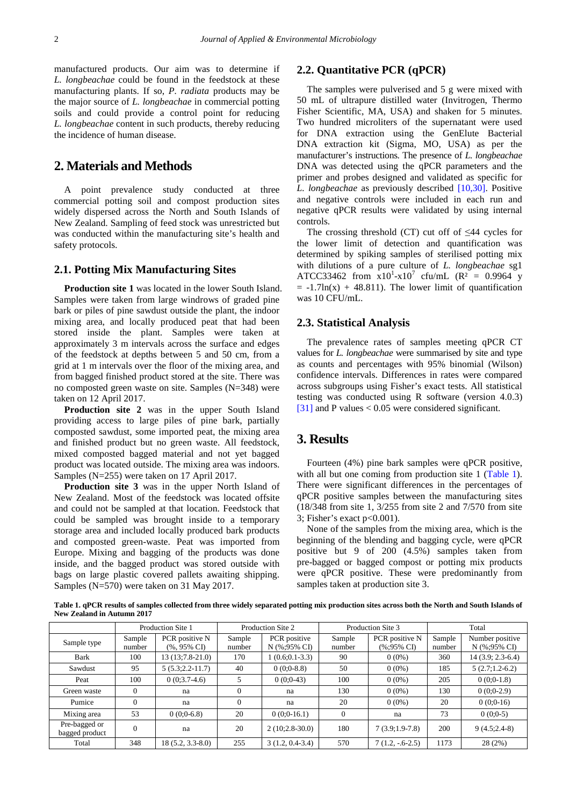manufactured products. Our aim was to determine if *L. longbeachae* could be found in the feedstock at these manufacturing plants. If so, *P. radiata* products may be the major source of *L. longbeachae* in commercial potting soils and could provide a control point for reducing *L. longbeachae* content in such products, thereby reducing the incidence of human disease.

# **2. Materials and Methods**

A point prevalence study conducted at three commercial potting soil and compost production sites widely dispersed across the North and South Islands of New Zealand. Sampling of feed stock was unrestricted but was conducted within the manufacturing site's health and safety protocols.

### **2.1. Potting Mix Manufacturing Sites**

**Production site 1** was located in the lower South Island. Samples were taken from large windrows of graded pine bark or piles of pine sawdust outside the plant, the indoor mixing area, and locally produced peat that had been stored inside the plant. Samples were taken at approximately 3 m intervals across the surface and edges of the feedstock at depths between 5 and 50 cm, from a grid at 1 m intervals over the floor of the mixing area, and from bagged finished product stored at the site. There was no composted green waste on site. Samples (N=348) were taken on 12 April 2017.

**Production site 2** was in the upper South Island providing access to large piles of pine bark, partially composted sawdust, some imported peat, the mixing area and finished product but no green waste. All feedstock, mixed composted bagged material and not yet bagged product was located outside. The mixing area was indoors. Samples (N=255) were taken on 17 April 2017.

**Production site 3** was in the upper North Island of New Zealand. Most of the feedstock was located offsite and could not be sampled at that location. Feedstock that could be sampled was brought inside to a temporary storage area and included locally produced bark products and composted green-waste. Peat was imported from Europe. Mixing and bagging of the products was done inside, and the bagged product was stored outside with bags on large plastic covered pallets awaiting shipping. Samples (N=570) were taken on 31 May 2017.

### **2.2. Quantitative PCR (qPCR)**

The samples were pulverised and 5 g were mixed with 50 mL of ultrapure distilled water (Invitrogen, Thermo Fisher Scientific, MA, USA) and shaken for 5 minutes. Two hundred microliters of the supernatant were used for DNA extraction using the GenElute Bacterial DNA extraction kit (Sigma, MO, USA) as per the manufacturer's instructions. The presence of *L. longbeachae* DNA was detected using the qPCR parameters and the primer and probes designed and validated as specific for *L. longbeachae* as previously described [\[10,30\].](#page-3-2) Positive and negative controls were included in each run and negative qPCR results were validated by using internal controls.

The crossing threshold (CT) cut off of  $\leq 44$  cycles for the lower limit of detection and quantification was determined by spiking samples of sterilised potting mix with dilutions of a pure culture of *L. longbeachae* sg1 ATCC33462 from  $x10^1-x10^7$  cfu/mL (R<sup>2</sup> = 0.9964 y  $= -1.7\ln(x) + 48.811$ . The lower limit of quantification was 10 CFU/mL.

#### **2.3. Statistical Analysis**

The prevalence rates of samples meeting qPCR CT values for *L. longbeachae* were summarised by site and type as counts and percentages with 95% binomial (Wilson) confidence intervals. Differences in rates were compared across subgroups using Fisher's exact tests. All statistical testing was conducted using R software (version 4.0.3) [\[31\]](#page-3-11) and P values < 0.05 were considered significant.

# **3. Results**

Fourteen (4%) pine bark samples were qPCR positive, with all but one coming from production site 1 [\(Table 1\)](#page-1-0). There were significant differences in the percentages of qPCR positive samples between the manufacturing sites (18/348 from site 1, 3/255 from site 2 and 7/570 from site 3; Fisher's exact  $p<0.001$ ).

None of the samples from the mixing area, which is the beginning of the blending and bagging cycle, were qPCR positive but 9 of 200 (4.5%) samples taken from pre-bagged or bagged compost or potting mix products were qPCR positive. These were predominantly from samples taken at production site 3.

**Table 1. qPCR results of samples collected from three widely separated potting mix production sites across both the North and South Islands of New Zealand in Autumn 2017**

<span id="page-1-0"></span>

|                                 | Production Site 1 |                      | Production Site 2 |                   | Production Site 3 |                   | Total  |                    |
|---------------------------------|-------------------|----------------------|-------------------|-------------------|-------------------|-------------------|--------|--------------------|
| Sample type                     | Sample            | PCR positive N       | Sample            | PCR positive      | Sample            | PCR positive N    | Sample | Number positive    |
|                                 | number            | $(%95%$ CI           | number            | N (%:95% CI)      | number            | (%:95% CI)        | number | N (%:95% CI)       |
| Bark                            | 100               | $13(13;7.8-21.0)$    | 170               | $(0.6; 0.1-3.3)$  | 90                | $0(0\%)$          | 360    | $14(3.9; 2.3-6.4)$ |
| Sawdust                         | 95                | $5(5.3; 2.2 - 11.7)$ | 40                | $0(0:0-8.8)$      | 50                | $0(0\%)$          | 185    | $5(2.7;1.2-6.2)$   |
| Peat                            | 100               | $0(0:3.7-4.6)$       |                   | $0(0:0-43)$       | 100               | $0(0\%)$          | 205    | $0(0:0-1.8)$       |
| Green waste                     | $\theta$          | na                   |                   | na                | 130               | $0(0\%)$          | 130    | $0(0:0-2.9)$       |
| Pumice                          | $\overline{0}$    | na                   | $\Omega$          | na                | 20                | $0(0\%)$          | 20     | $0(0:0-16)$        |
| Mixing area                     | 53                | $0(0:0-6.8)$         | 20                | $0(0:0-16.1)$     | $\mathbf{0}$      | na                | 73     | $0(0:0-5)$         |
| Pre-bagged or<br>bagged product | $\theta$          | na                   | 20                | $2(10;2.8-30.0)$  | 180               | $7(3.9;1.9-7.8)$  | 200    | $9(4.5;2.4-8)$     |
| Total                           | 348               | $18(5.2, 3.3-8.0)$   | 255               | $3(1.2, 0.4-3.4)$ | 570               | $7(1.2, -.6-2.5)$ | 1173   | 28(2%)             |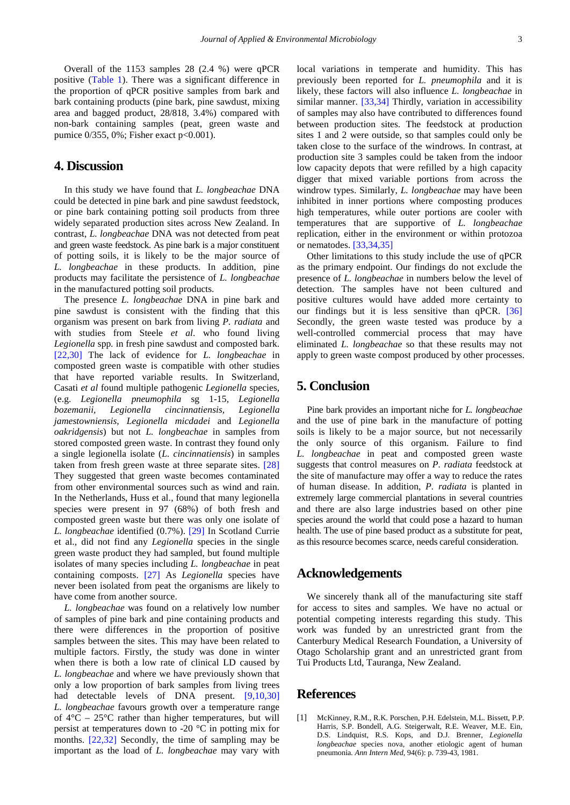Overall of the 1153 samples 28 (2.4 %) were qPCR positive [\(Table 1\)](#page-1-0). There was a significant difference in the proportion of qPCR positive samples from bark and bark containing products (pine bark, pine sawdust, mixing area and bagged product, 28/818, 3.4%) compared with non-bark containing samples (peat, green waste and pumice 0/355, 0%; Fisher exact p<0.001).

# **4. Discussion**

In this study we have found that *L. longbeachae* DNA could be detected in pine bark and pine sawdust feedstock, or pine bark containing potting soil products from three widely separated production sites across New Zealand. In contrast, *L. longbeachae* DNA was not detected from peat and green waste feedstock. As pine bark is a major constituent of potting soils, it is likely to be the major source of *L. longbeachae* in these products. In addition, pine products may facilitate the persistence of *L. longbeachae*  in the manufactured potting soil products.

The presence *L. longbeachae* DNA in pine bark and pine sawdust is consistent with the finding that this organism was present on bark from living *P. radiata* and with studies from Steele *et al*. who found living *Legionella* spp*.* in fresh pine sawdust and composted bark. [\[22,30\]](#page-3-6) The lack of evidence for *L. longbeachae* in composted green waste is compatible with other studies that have reported variable results. In Switzerland, Casati *et al* found multiple pathogenic *Legionella* species, (e.g. *Legionella pneumophila* sg 1-15*, Legionella bozemanii, Legionella cincinnatiensis, Legionella jamestowniensis, Legionella micdadei* and *Legionella oakridgensis*) but not *L. longbeachae* in samples from stored composted green waste. In contrast they found only a single legionella isolate (*L. cincinnatiensis*) in samples taken from fresh green waste at three separate sites. [\[28\]](#page-3-9) They suggested that green waste becomes contaminated from other environmental sources such as wind and rain. In the Netherlands, Huss et al., found that many legionella species were present in 97 (68%) of both fresh and composted green waste but there was only one isolate of *L. longbeachae* identified (0.7%). [\[29\]](#page-3-12) In Scotland Currie et al., did not find any *Legionella* species in the single green waste product they had sampled, but found multiple isolates of many species including *L. longbeachae* in peat containing composts. [\[27\]](#page-3-8) As *Legionella* species have never been isolated from peat the organisms are likely to have come from another source.

*L. longbeachae* was found on a relatively low number of samples of pine bark and pine containing products and there were differences in the proportion of positive samples between the sites. This may have been related to multiple factors. Firstly, the study was done in winter when there is both a low rate of clinical LD caused by *L. longbeachae* and where we have previously shown that only a low proportion of bark samples from living trees had detectable levels of DNA present. [\[9,10,30\]](#page-3-1) *L. longbeachae* favours growth over a temperature range of  $4^{\circ}$ C –  $25^{\circ}$ C rather than higher temperatures, but will persist at temperatures down to -20 °C in potting mix for months. [\[22,32\]](#page-3-6) Secondly, the time of sampling may be important as the load of *L. longbeachae* may vary with

local variations in temperate and humidity. This has previously been reported for *L. pneumophila* and it is likely, these factors will also influence *L. longbeachae* in similar manner. [\[33,34\]](#page-3-13) Thirdly, variation in accessibility of samples may also have contributed to differences found between production sites. The feedstock at production sites 1 and 2 were outside, so that samples could only be taken close to the surface of the windrows. In contrast, at production site 3 samples could be taken from the indoor low capacity depots that were refilled by a high capacity digger that mixed variable portions from across the windrow types. Similarly, *L. longbeachae* may have been inhibited in inner portions where composting produces high temperatures, while outer portions are cooler with temperatures that are supportive of *L. longbeachae* replication, either in the environment or within protozoa or nematodes. [\[33,34,35\]](#page-3-13)

Other limitations to this study include the use of qPCR as the primary endpoint. Our findings do not exclude the presence of *L. longbeachae* in numbers below the level of detection. The samples have not been cultured and positive cultures would have added more certainty to our findings but it is less sensitive than qPCR. [\[36\]](#page-3-14) Secondly, the green waste tested was produce by a well-controlled commercial process that may have eliminated *L. longbeachae* so that these results may not apply to green waste compost produced by other processes.

# **5. Conclusion**

Pine bark provides an important niche for *L. longbeachae* and the use of pine bark in the manufacture of potting soils is likely to be a major source, but not necessarily the only source of this organism. Failure to find *L. longbeachae* in peat and composted green waste suggests that control measures on *P. radiata* feedstock at the site of manufacture may offer a way to reduce the rates of human disease. In addition, *P. radiata* is planted in extremely large commercial plantations in several countries and there are also large industries based on other pine species around the world that could pose a hazard to human health. The use of pine based product as a substitute for peat, as this resource becomes scarce, needs careful consideration.

# **Acknowledgements**

We sincerely thank all of the manufacturing site staff for access to sites and samples. We have no actual or potential competing interests regarding this study. This work was funded by an unrestricted grant from the Canterbury Medical Research Foundation, a University of Otago Scholarship grant and an unrestricted grant from Tui Products Ltd, Tauranga, New Zealand.

#### **References**

<span id="page-2-0"></span>[1] McKinney, R.M., R.K. Porschen, P.H. Edelstein, M.L. Bissett, P.P. Harris, S.P. Bondell, A.G. Steigerwalt, R.E. Weaver, M.E. Ein, D.S. Lindquist, R.S. Kops, and D.J. Brenner, *Legionella longbeachae* species nova, another etiologic agent of human pneumonia*. Ann Intern Med*, 94(6): p. 739-43, 1981.